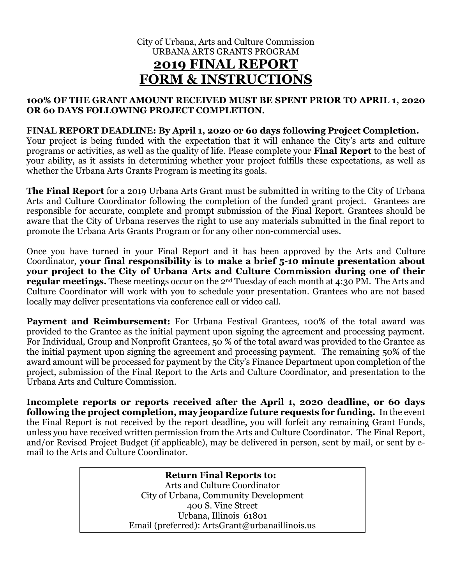# City of Urbana, Arts and Culture Commission URBANA ARTS GRANTS PROGRAM **2019 FINAL REPORT FORM & INSTRUCTIONS**

#### **100% OF THE GRANT AMOUNT RECEIVED MUST BE SPENT PRIOR TO APRIL 1, 2020 OR 60 DAYS FOLLOWING PROJECT COMPLETION.**

## **FINAL REPORT DEADLINE: By April 1, 2020 or 60 days following Project Completion.**

Your project is being funded with the expectation that it will enhance the City's arts and culture programs or activities, as well as the quality of life. Please complete your **Final Report** to the best of your ability, as it assists in determining whether your project fulfills these expectations, as well as whether the Urbana Arts Grants Program is meeting its goals.

**The Final Report** for a 2019 Urbana Arts Grant must be submitted in writing to the City of Urbana Arts and Culture Coordinator following the completion of the funded grant project. Grantees are responsible for accurate, complete and prompt submission of the Final Report. Grantees should be aware that the City of Urbana reserves the right to use any materials submitted in the final report to promote the Urbana Arts Grants Program or for any other non-commercial uses.

Once you have turned in your Final Report and it has been approved by the Arts and Culture Coordinator, **your final responsibility is to make a brief 5-10 minute presentation about your project to the City of Urbana Arts and Culture Commission during one of their regular meetings.** These meetings occur on the 2<sup>nd</sup> Tuesday of each month at 4:30 PM. The Arts and Culture Coordinator will work with you to schedule your presentation. Grantees who are not based locally may deliver presentations via conference call or video call.

Payment and Reimbursement: For Urbana Festival Grantees, 100% of the total award was provided to the Grantee as the initial payment upon signing the agreement and processing payment. For Individual, Group and Nonprofit Grantees, 50 % of the total award was provided to the Grantee as the initial payment upon signing the agreement and processing payment. The remaining 50% of the award amount will be processed for payment by the City's Finance Department upon completion of the project, submission of the Final Report to the Arts and Culture Coordinator, and presentation to the Urbana Arts and Culture Commission.

**Incomplete reports or reports received after the April 1, 2020 deadline, or 60 days following the project completion, may jeopardize future requests for funding.** In the event the Final Report is not received by the report deadline, you will forfeit any remaining Grant Funds, unless you have received written permission from the Arts and Culture Coordinator. The Final Report, and/or Revised Project Budget (if applicable), may be delivered in person, sent by mail, or sent by email to the Arts and Culture Coordinator.

> **Return Final Reports to:** Arts and Culture Coordinator City of Urbana, Community Development 400 S. Vine Street Urbana, Illinois 61801 Email (preferred): ArtsGrant@urbanaillinois.us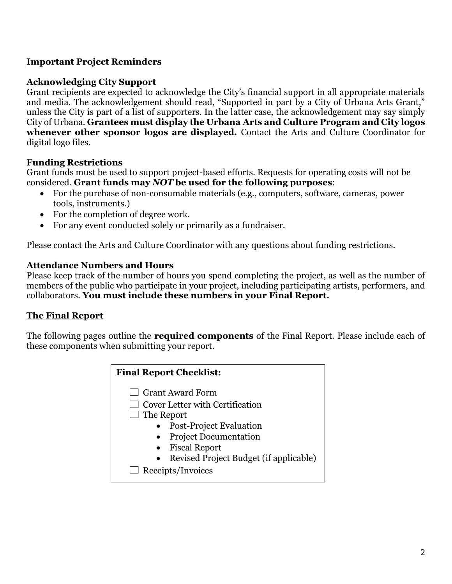# **Important Project Reminders**

## **Acknowledging City Support**

Grant recipients are expected to acknowledge the City's financial support in all appropriate materials and media. The acknowledgement should read, "Supported in part by a City of Urbana Arts Grant," unless the City is part of a list of supporters. In the latter case, the acknowledgement may say simply City of Urbana. **Grantees must display the Urbana Arts and Culture Program and City logos whenever other sponsor logos are displayed.** Contact the Arts and Culture Coordinator for digital logo files.

## **Funding Restrictions**

Grant funds must be used to support project-based efforts. Requests for operating costs will not be considered. **Grant funds may** *NOT* **be used for the following purposes**:

- For the purchase of non-consumable materials (e.g., computers, software, cameras, power tools, instruments.)
- For the completion of degree work.
- For any event conducted solely or primarily as a fundraiser.

Please contact the Arts and Culture Coordinator with any questions about funding restrictions.

## **Attendance Numbers and Hours**

Please keep track of the number of hours you spend completing the project, as well as the number of members of the public who participate in your project, including participating artists, performers, and collaborators. **You must include these numbers in your Final Report.**

## **The Final Report**

The following pages outline the **required components** of the Final Report. Please include each of these components when submitting your report.

| <b>Final Report Checklist:</b>                      |  |  |  |
|-----------------------------------------------------|--|--|--|
| $\Box$ Grant Award Form                             |  |  |  |
| $\Box$ Cover Letter with Certification              |  |  |  |
| $\Box$ The Report                                   |  |  |  |
| Post-Project Evaluation                             |  |  |  |
| <b>Project Documentation</b>                        |  |  |  |
| • Fiscal Report                                     |  |  |  |
| Revised Project Budget (if applicable)<br>$\bullet$ |  |  |  |
| $\Box$ Receipts/Invoices                            |  |  |  |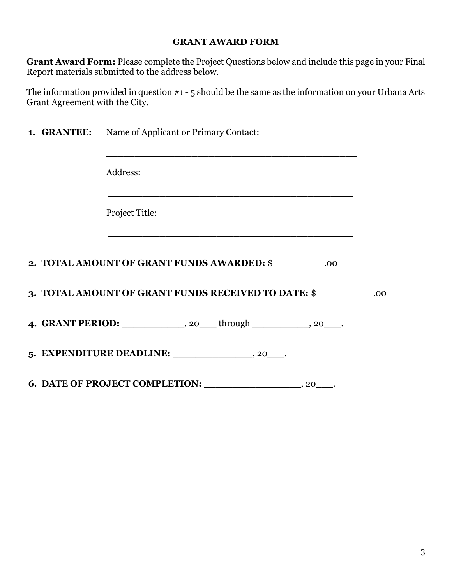#### **GRANT AWARD FORM**

**Grant Award Form:** Please complete the Project Questions below and include this page in your Final Report materials submitted to the address below.

The information provided in question #1 - 5 should be the same as the information on your Urbana Arts Grant Agreement with the City.

|  | <b>1. GRANTEE:</b> Name of Applicant or Primary Contact:                      |  |
|--|-------------------------------------------------------------------------------|--|
|  | Address:                                                                      |  |
|  | <u> 1989 - Johann Stoff, amerikansk politiker (d. 1989)</u><br>Project Title: |  |
|  | 2. TOTAL AMOUNT OF GRANT FUNDS AWARDED: \$ _________.00                       |  |
|  | 3. TOTAL AMOUNT OF GRANT FUNDS RECEIVED TO DATE: \$                           |  |
|  | 4. GRANT PERIOD: _____________, 20____through ___________, 20____.            |  |
|  |                                                                               |  |
|  | 6. DATE OF PROJECT COMPLETION: $\_\_\_\_\_\_$ , 20 $\_\_\_\$                  |  |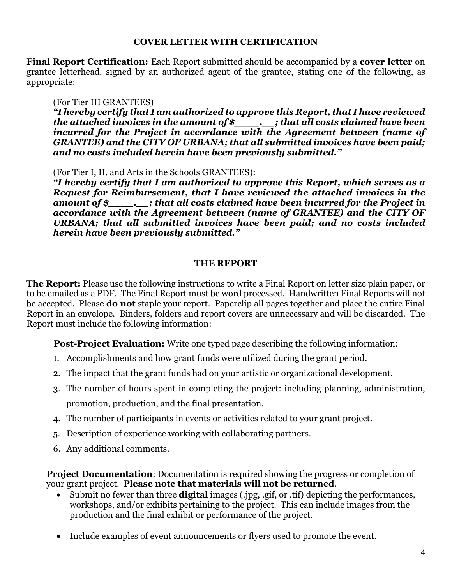#### **COVER LETTER WITH CERTIFICATION**

**Final Report Certification:** Each Report submitted should be accompanied by a **cover letter** on grantee letterhead, signed by an authorized agent of the grantee, stating one of the following, as appropriate:

## (For Tier III GRANTEES)

*"I hereby certify that I am authorized to approve this Report, that I have reviewed the attached invoices in the amount of \$\_\_\_\_.\_\_; that all costs claimed have been incurred for the Project in accordance with the Agreement between (name of GRANTEE) and the CITY OF URBANA; that all submitted invoices have been paid; and no costs included herein have been previously submitted."*

(For Tier I, II, and Arts in the Schools GRANTEES):

*"I hereby certify that I am authorized to approve this Report, which serves as a Request for Reimbursement, that I have reviewed the attached invoices in the amount of \$\_\_\_\_.\_\_; that all costs claimed have been incurred for the Project in accordance with the Agreement between (name of GRANTEE) and the CITY OF URBANA; that all submitted invoices have been paid; and no costs included herein have been previously submitted."*

## **THE REPORT**

**The Report:** Please use the following instructions to write a Final Report on letter size plain paper, or to be emailed as a PDF. The Final Report must be word processed. Handwritten Final Reports will not be accepted. Please **do not** staple your report. Paperclip all pages together and place the entire Final Report in an envelope. Binders, folders and report covers are unnecessary and will be discarded. The Report must include the following information:

**Post-Project Evaluation:** Write one typed page describing the following information:

- 1. Accomplishments and how grant funds were utilized during the grant period.
- 2. The impact that the grant funds had on your artistic or organizational development.
- 3. The number of hours spent in completing the project: including planning, administration, promotion, production, and the final presentation.
- 4. The number of participants in events or activities related to your grant project.
- 5. Description of experience working with collaborating partners.
- 6. Any additional comments.

**Project Documentation**: Documentation is required showing the progress or completion of your grant project. **Please note that materials will not be returned**.

- Submit no fewer than three **digital** images (.jpg, .gif, or .tif) depicting the performances, workshops, and/or exhibits pertaining to the project. This can include images from the production and the final exhibit or performance of the project.
- Include examples of event announcements or flyers used to promote the event.